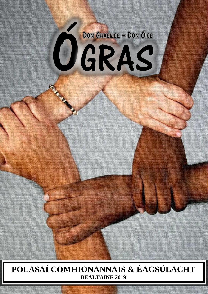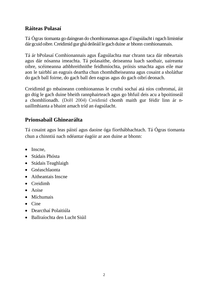## **Ráiteas Polasaí**

Tá Ógras tiomanta go daingean do chomhionannas agus d'éagsúlacht i ngach limistéar dárgcuidoibre.Creidimid gur ghádeileáille gach duine ar bhonn comhionannais.

Tá ár bPolasaí Comhionannais agus Éagsúlachta mar chrann taca dár mbeartais agus dár nósanna imeachta. Tá polasaithe, deiseanna luach saothair, uaireanta oibre, scéimeanna athbhreithnithe feidhmíochta, próisis smachta agus eile mar aon le tairbhí an eagrais deartha chun chomhdheiseanna agus cosaint a sholáthar do gach ball foirne, do gach ball den eagras agus do gach oibrí deonach.

Creidimid go mbaineann comhionannas le cruthú sochaí atá níos cothromaí, áit go dtig le gach duine bheith rannphairteach agus go bhfuil deis acu a bpoitinseál a chomhlíonadh. (DoH 2004) Creidimid chomh maith gur féidir linn ár nuaillmhianta a bhaint amach tríd an éagsúlacht.

## **Prionsabail Ghinearálta**

Tá cosaint agus leas páistí agus daoine óga fíorthábhachtach. Tá Ógras tiomanta chun a chinntiú nach ndéantar éagóir ar aon duine ar bhonn:

- Inscne,
- Stádais Phósta
- Stádais Teaghlaigh
- Gnéaschlaonta
- Aitheantais Inscne
- Creidimh
- Aoise
- Míchumais
- $\bullet$  Cine
- Dearcthaí Polaitiúla
- Ballraíochta den Lucht Siúil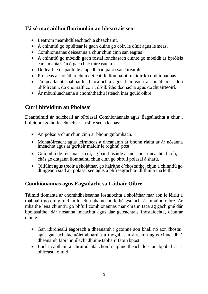### **Tá sé mar aidhm fhoriomlán an bheartais seo:**

- Leatrom neamhdhleachtach a sheachaint.
- A chinntiú go bpléitear le gach duine go cóir, le dínit agus lemeas.
- Comhionnanas deiseanna a chur chun cinn san eagras
- A chinntiú go mbeidh gach fostaí ionchasach cinnte go mbeidh ár bpróisis earcaíochta slán ó gach bac míréasúnta.
- Deileáil le ciapadh, le ciapadh tríú páirtí san áireamh.
- Próiseas a sholáthar chun deileáil le líomhaintí maidir lecomhionannas
- Timpeallacht shábháilte, thacaíochta agus fháilteach a sholáthar don bhfoireann, do chonraitheoirí, d'oibrithe deonacha agus dochuairteoirí.
- Ár mbunluachanna a chomhtháthú isteach inár gcuid oibre.

## **Cur i bhfeidhm an Pholasaí**

Déanfaimid ár ndícheall ár bPolasaí Comhionannais agus Éagsúlachta a chur i bhfeidhm go héifeachtach ar na slite seo a leanas:

- An polsaí a chur chun cinn ar bhonn gníomhach.
- Monatóireacht agus léirmheas a dhéanamh ar bhonn rialta ar ár nósanna imeachta agus ár gcritéir maidir le roghnú post.
- Gníomhú de réir mar is cuí, ag baint úsáide as nósanna imeachta faofa, sa chás go dtagann líomhaintí chun cinn go bhfuil polasaí á shárú.
- Oiliúint agus treoir a sholáthar, go háirithe d'fhostaithe, chun a chinntiú go dtuigeann siad an polasaí seo agus a bhfreagrachtaí dlíthiúla ina leith.

# **Comhionannas agus Éagsúlacht sa Láthair Oibre**

Táimid tiomanta ar chomhdheiseanna fostaíochta a sholáthar mar aon le léiriú a thabhairt go dtuigimid an luach a bhaineann le héagsúlacht ár mbuíon oibre. Ar mhaithe lena chinntiú go bhfuil comhionannas mar chrann taca ag gach gné dár bpolasaithe, dár nósanna imeachta agus dár gcleachtais fhostaíochta, déanfar cinnte:

- Gan idirdhealú éagórach a dhéanamh i gcoinne aon bhall nó aon fhostaí, agus gan ach fachtóirí ábhartha a thógáil san áireamh agus cinneadh á dhéanamh faoi inniúlacht dhuine tabhairt faoin bpost.
- Lucht saothair a chruthú atá chomh ilghnéitheach leis an bpobal ar a bhfreastalóimid.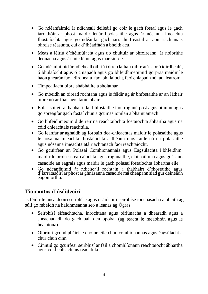- Go ndéanfaimid ár ndícheall deileáil go cóir le gach fostaí agus le gach iarrathóir ar phost maidir lenár bpolasaithe agus ár nósanna imeachta fhostaíochta agus go ndéanfar gach iarracht freastal ar aon riachtanais bhreise réasúnta, cuí a d'fhéadfadh a bheith acu.
- Meas a léiriú d'fhéiniúlacht agus do chultúir ár bhfoireann, ár noibrithe deonacha agus ár mic léinn agus mar sin de.
- Go ndéanfaimid ár ndícheall oibriú i dtreo láthair oibre atá saor ó idirdhealú, ó bhulaíocht agus ó chiapadh agus go bhfeidhmeoimid go pras maidir le haon ghearán faoi idirdhealú, faoi bhulaíocht, faoi chiapadh nó faoi leatrom.
- Timpeallacht oibre shábháilte a sholáthar
- Go mbeidh an oiread rochtana agus is féidir ag ár bhfostaithe ar an láthair oibre nó ar fhaisnéis faoin obair.
- Eolas soiléir a thabhairt dár bhfostaithe faoi roghnú post agus oiliúint agus go spreagfar gach fostaí chun a gcumas iomlán a bhaint amach
- Go bhfeidhmeoimid de réir na reachtaíochta fostaíochta ábhartha agus na cóid chleachtais reachtúla.
- Go leanfar ar aghaidh ag forbairt dea-chleachtas maidir le polasaithe agus le nósanna imeachta fhostaíochta a théann níos faide ná na polasaithe agus nósanna imeachta atá riachtanach faoi reachtaíocht.
- Go gcuirfear an Polasaí Comhionannais agus Éagsúlachta i bhfeidhm maidir le próiseas earcaíochta agus roghnaithe, cláir oiliúna agus gnásanna casaoide an eagrais agus maidir le gach polasaí fostaíochta ábhartha eile.
- Go ndéanfaimid ár ndícheall rochtain a thabhairt d'fhostaithe agus d'iarratasóirí ar phost ar ghnásanna casaoide má cheapann siad gur deineadh éagóir orthu.

# **Tiomantas d'úsáideoirí**

Is féidir le húsáideoirí seirbhíse agus úsáideoirí seirbhíse ionchasacha a bheith ag súil go mbeidh na haidhmeanna seo a leanas ag Ógras:

- Seirbhísí éifeachtacha, inrochtana agus oiriúnacha a dhearadh agus a sheachadadh do gach ball den bpobal (ag teacht le meabhrán agus le healaíona)
- Oibriú i gcomhpháirt le daoine eile chun comhionannas agus éagsúlacht a chur chun cinn
- Cinntiú go gcuirfear seirbhísí ar fáil a chomhlíonann reachtaíocht ábhartha agus cóid chleachtais reachtúla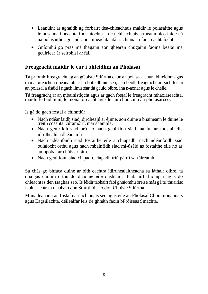- Leanúint ar aghaidh ag forbairt dea-chleachtais maidir le polasaithe agus le nósanna imeachta fhostaíochta – dea-chleachtais a théann níos faide ná na polasaithe agus nósanna imeachta atá riachtanach faoireachtaíocht.
- Gníomhú go pras má thagann aon ghearán chugainn faoina bealaí ina gcuirfear ár seirbhísí ar fáil

### **Freagracht maidir le cur i bhfeidhm an Pholasaí**

Tá príomhfhreagracht ag an gCoiste Stiúrtha chun an polasaí a churi bhfeidhmagus monatóireacht a dhéanamh ar an bhfeidhmiú seo, ach beidh freagracht ar gach fostaí an polasaí a úsáid i ngach limistéar dá gcuid oibre, ina n-aonar agusle chéile.

Tá freagracht ar an mbainistíocht agus ar gach fostaí le freagracht mhaoirseachta, maidir le feidhmiú, le monatóireacht agus le cur chun cinn an pholasaíseo.

Is gá do gach fostaí a chinntiú:

- Nach ndéanfaidh siad idirdhealú ar éinne, aon duine a bhaineann le duine le tréith cosanta, cúramóirí, mar shampla.
- Nach gcuirfidh siad brú nó nach gcuirfidh siad ina luí ar fhostaí eile idirdhealú a dhéanamh
- Nach ndéanfaidh siad fostaithe eile a chiapadh, nach ndéanfaidh siad bulaíocht orthu agus nach mbainfidh siad mí-úsáid as fostaithe eile nó as an bpobal ar chúis ar bith.
- Nach gcúitíonn siad ciapadh, ciapadh tríú páirtí san áireamh.

Sa chás go bhfaca duine ar bith eachtra idirdhealaitheacha sa láthair oibre, tá dualgas cúraim orthu do dhaoine eile dúshlán a thabhairt d'iompar agus do chleachtas den tsaghas seo. Is féidir tabhairt faoi ghníomhú breise más gá trí thuairisc faoin eachtra a thabhairt don Stiúrthóir nó don Choiste Stiúrtha.

Muna leanann an fostaí na riachtanais seo agus eile an Pholasaí Chomhionannais agus Éagsúlachta, déileálfar leis de ghnáth faoin bPróiseas Smachta.